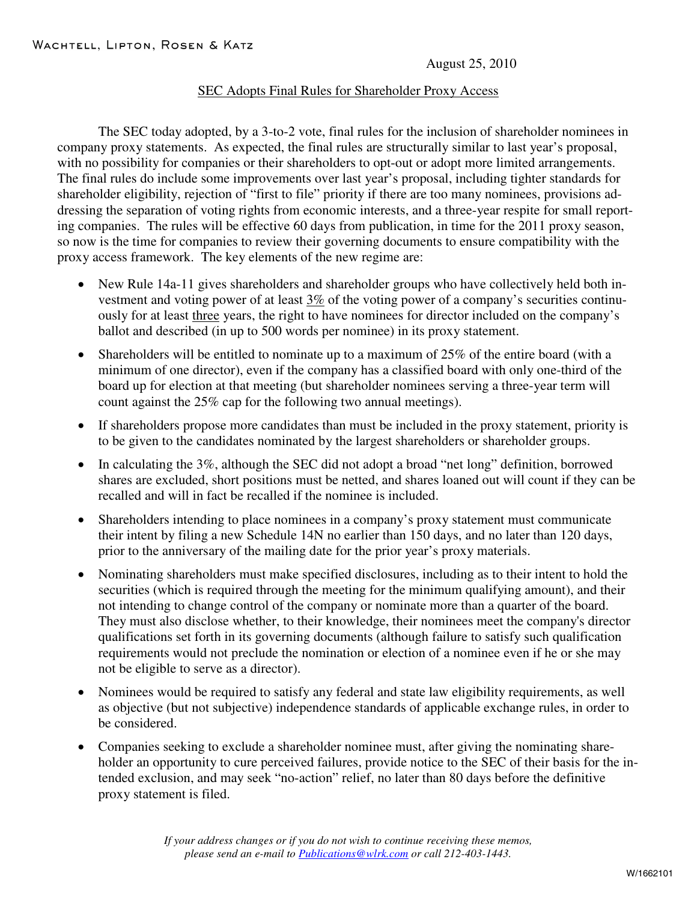## August 25, 2010

## SEC Adopts Final Rules for Shareholder Proxy Access

The SEC today adopted, by a 3-to-2 vote, final rules for the inclusion of shareholder nominees in company proxy statements. As expected, the final rules are structurally similar to last year's proposal, with no possibility for companies or their shareholders to opt-out or adopt more limited arrangements. The final rules do include some improvements over last year's proposal, including tighter standards for shareholder eligibility, rejection of "first to file" priority if there are too many nominees, provisions addressing the separation of voting rights from economic interests, and a three-year respite for small reporting companies. The rules will be effective 60 days from publication, in time for the 2011 proxy season, so now is the time for companies to review their governing documents to ensure compatibility with the proxy access framework. The key elements of the new regime are:

- New Rule 14a-11 gives shareholders and shareholder groups who have collectively held both investment and voting power of at least 3% of the voting power of a company's securities continuously for at least three years, the right to have nominees for director included on the company's ballot and described (in up to 500 words per nominee) in its proxy statement.
- Shareholders will be entitled to nominate up to a maximum of 25% of the entire board (with a minimum of one director), even if the company has a classified board with only one-third of the board up for election at that meeting (but shareholder nominees serving a three-year term will count against the 25% cap for the following two annual meetings).
- If shareholders propose more candidates than must be included in the proxy statement, priority is to be given to the candidates nominated by the largest shareholders or shareholder groups.
- In calculating the 3%, although the SEC did not adopt a broad "net long" definition, borrowed shares are excluded, short positions must be netted, and shares loaned out will count if they can be recalled and will in fact be recalled if the nominee is included.
- Shareholders intending to place nominees in a company's proxy statement must communicate their intent by filing a new Schedule 14N no earlier than 150 days, and no later than 120 days, prior to the anniversary of the mailing date for the prior year's proxy materials.
- Nominating shareholders must make specified disclosures, including as to their intent to hold the securities (which is required through the meeting for the minimum qualifying amount), and their not intending to change control of the company or nominate more than a quarter of the board. They must also disclose whether, to their knowledge, their nominees meet the company's director qualifications set forth in its governing documents (although failure to satisfy such qualification requirements would not preclude the nomination or election of a nominee even if he or she may not be eligible to serve as a director).
- Nominees would be required to satisfy any federal and state law eligibility requirements, as well as objective (but not subjective) independence standards of applicable exchange rules, in order to be considered.
- Companies seeking to exclude a shareholder nominee must, after giving the nominating shareholder an opportunity to cure perceived failures, provide notice to the SEC of their basis for the intended exclusion, and may seek "no-action" relief, no later than 80 days before the definitive proxy statement is filed.